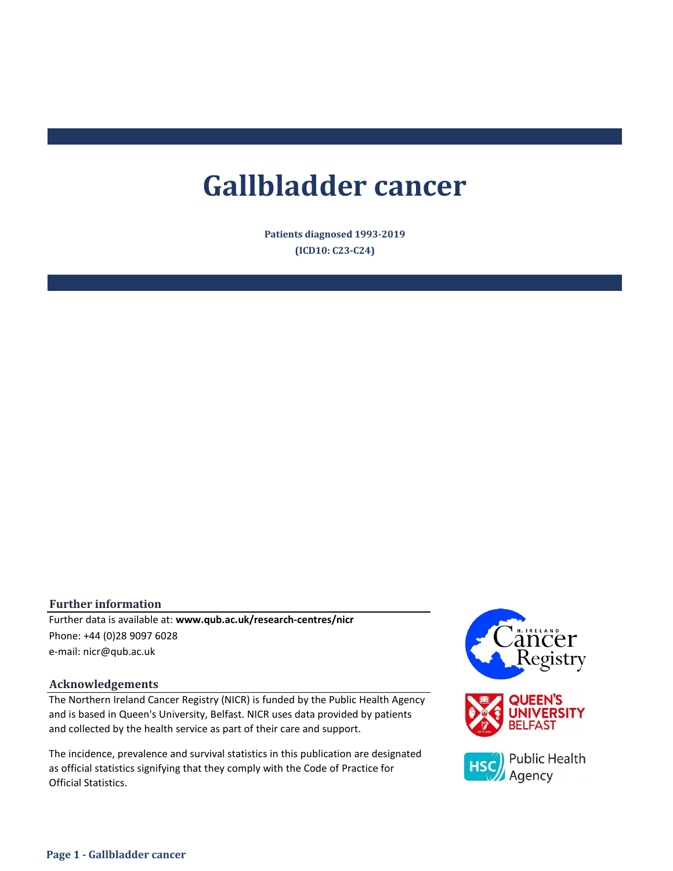# **Gallbladder cancer**

**Patients diagnosed 1993-2019 (ICD10: C23-C24)**

# **Further information**

e-mail: nicr@qub.ac.uk Further data is available at: **www.qub.ac.uk/research-centres/nicr** Phone: +44 (0)28 9097 6028

#### **Acknowledgements**

The Northern Ireland Cancer Registry (NICR) is funded by the Public Health Agency and is based in Queen's University, Belfast. NICR uses data provided by patients and collected by the health service as part of their care and support.

The incidence, prevalence and survival statistics in this publication are designated as official statistics signifying that they comply with the Code of Practice for Official Statistics.

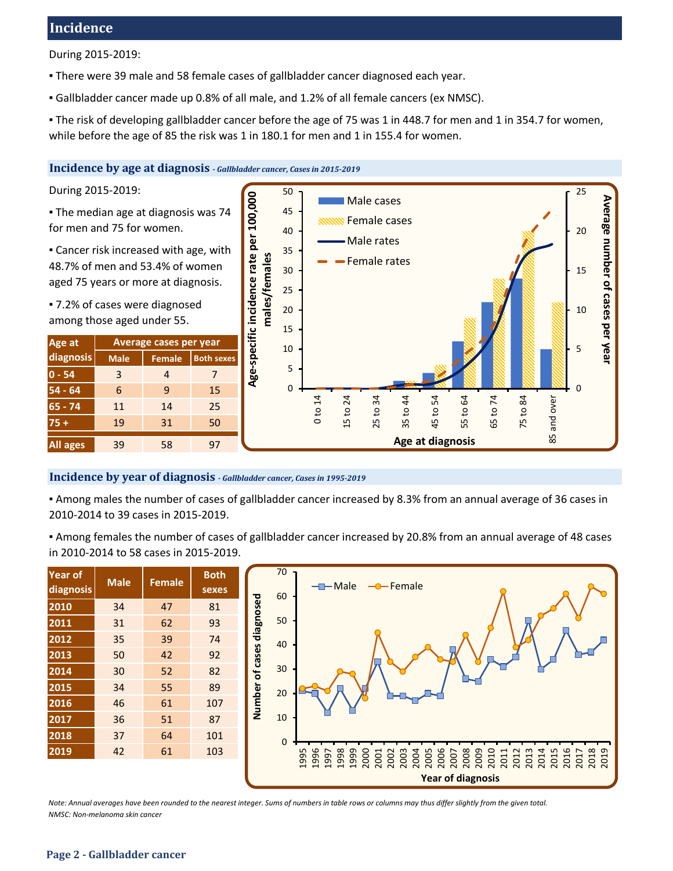# **Incidence**

During 2015-2019:

- There were 39 male and 58 female cases of gallbladder cancer diagnosed each year.
- Gallbladder cancer made up 0.8% of all male, and 1.2% of all female cancers (ex NMSC).
- The risk of developing gallbladder cancer before the age of 75 was 1 in 448.7 for men and 1 in 354.7 for women, while before the age of 85 the risk was 1 in 180.1 for men and 1 in 155.4 for women.

#### **Incidence by age at diagnosis** *- Gallbladder cancer, Cases in 2015-2019*

During 2015-2019:

▪ The median age at diagnosis was 74 for men and 75 for women.

**Example 2** Cancer risk increased with age, with 48.7% of men and 53.4% of women aged 75 years or more at diagnosis.

▪ 7.2% of cases were diagnosed among those aged under 55.

| Age at          | Average cases per year |               |                   |  |  |  |  |  |
|-----------------|------------------------|---------------|-------------------|--|--|--|--|--|
| diagnosis       | <b>Male</b>            | <b>Female</b> | <b>Both sexes</b> |  |  |  |  |  |
| $0 - 54$        | 3                      | 4             | 7                 |  |  |  |  |  |
| $54 - 64$       | 6                      | ٩             | 15                |  |  |  |  |  |
| $65 - 74$       | 11                     | 14            | 25                |  |  |  |  |  |
| $75+$           | 19                     | 31            | 50                |  |  |  |  |  |
| <b>All ages</b> | 39                     | 58            | 97                |  |  |  |  |  |



# **Incidence by year of diagnosis** *- Gallbladder cancer, Cases in 1995-2019*

▪ Among males the number of cases of gallbladder cancer increased by 8.3% from an annual average of 36 cases in 2010-2014 to 39 cases in 2015-2019.

▪ Among females the number of cases of gallbladder cancer increased by 20.8% from an annual average of 48 cases in 2010-2014 to 58 cases in 2015-2019.

| <b>Year of</b><br>diagnosis | <b>Male</b> | <b>Female</b> | <b>Both</b><br>sexes |
|-----------------------------|-------------|---------------|----------------------|
| 2010                        | 34          | 47            | 81                   |
| 2011                        | 31          | 62            | 93                   |
| 2012                        | 35          | 39            | 74                   |
| 2013                        | 50          | 42            | 92                   |
| 2014                        | 30          | 52            | 82                   |
| 2015                        | 34          | 55            | 89                   |
| 2016                        | 46          | 61            | 107                  |
| 2017                        | 36          | 51            | 87                   |
| 2018                        | 37          | 64            | 101                  |
| 2019                        | 42          | 61            | 103                  |



*NMSC: Non-melanoma skin cancer Note: Annual averages have been rounded to the nearest integer. Sums of numbers in table rows or columns may thus differ slightly from the given total.*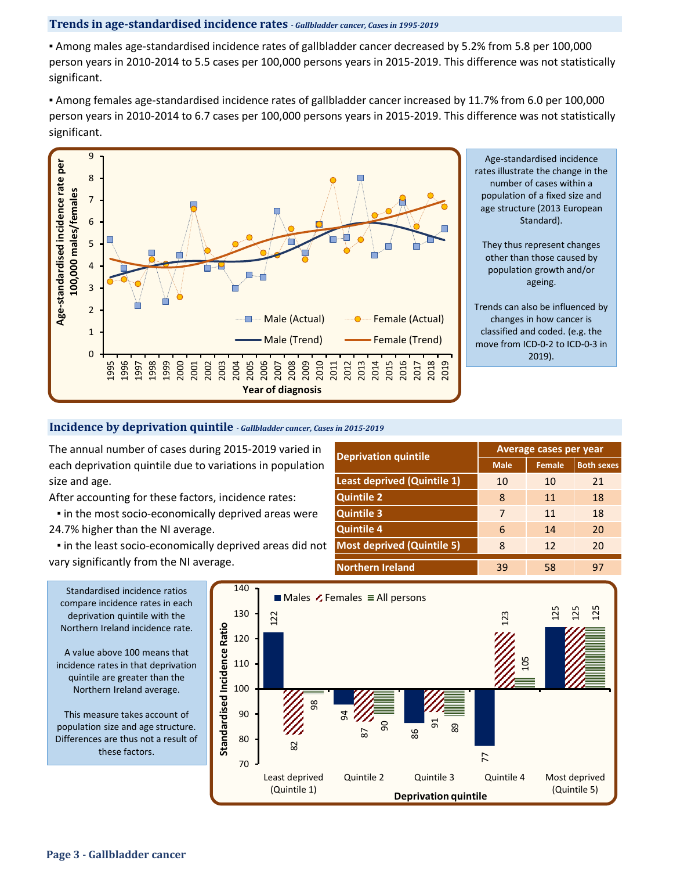# **Trends in age-standardised incidence rates** *- Gallbladder cancer, Cases in 1995-2019*

▪ Among males age-standardised incidence rates of gallbladder cancer decreased by 5.2% from 5.8 per 100,000 person years in 2010-2014 to 5.5 cases per 100,000 persons years in 2015-2019. This difference was not statistically significant.

▪ Among females age-standardised incidence rates of gallbladder cancer increased by 11.7% from 6.0 per 100,000 person years in 2010-2014 to 6.7 cases per 100,000 persons years in 2015-2019. This difference was not statistically significant.



Age-standardised incidence rates illustrate the change in the number of cases within a population of a fixed size and age structure (2013 European Standard).

They thus represent changes other than those caused by population growth and/or ageing.

Trends can also be influenced by changes in how cancer is classified and coded. (e.g. the move from ICD-0-2 to ICD-0-3 in 2019).

# **Incidence by deprivation quintile** *- Gallbladder cancer, Cases in 2015-2019*

The annual number of cases during 2015-2019 varied in each deprivation quintile due to variations in population size and age.

After accounting for these factors, incidence rates:

**.** in the most socio-economically deprived areas were 24.7% higher than the NI average.

 ▪ in the least socio-economically deprived areas did not vary significantly from the NI average.

| <b>Deprivation quintile</b>        | Average cases per year |               |                   |  |  |  |
|------------------------------------|------------------------|---------------|-------------------|--|--|--|
|                                    | <b>Male</b>            | <b>Female</b> | <b>Both sexes</b> |  |  |  |
| <b>Least deprived (Quintile 1)</b> | 10                     | 10            | 21                |  |  |  |
| <b>Quintile 2</b>                  | 8                      | 11            | 18                |  |  |  |
| <b>Quintile 3</b>                  | 7                      | 11            | 18                |  |  |  |
| <b>Quintile 4</b>                  | 6                      | 14            | 20                |  |  |  |
| <b>Most deprived (Quintile 5)</b>  | 8                      | 12            | 20                |  |  |  |
| <b>Northern Ireland</b>            | 39                     | 58            |                   |  |  |  |

compare incidence rates in each deprivation quintile with the Northern Ireland incidence rate.

A value above 100 means that incidence rates in that deprivation quintile are greater than the Northern Ireland average.

This measure takes account of population size and age structure. Differences are thus not a result of these factors.

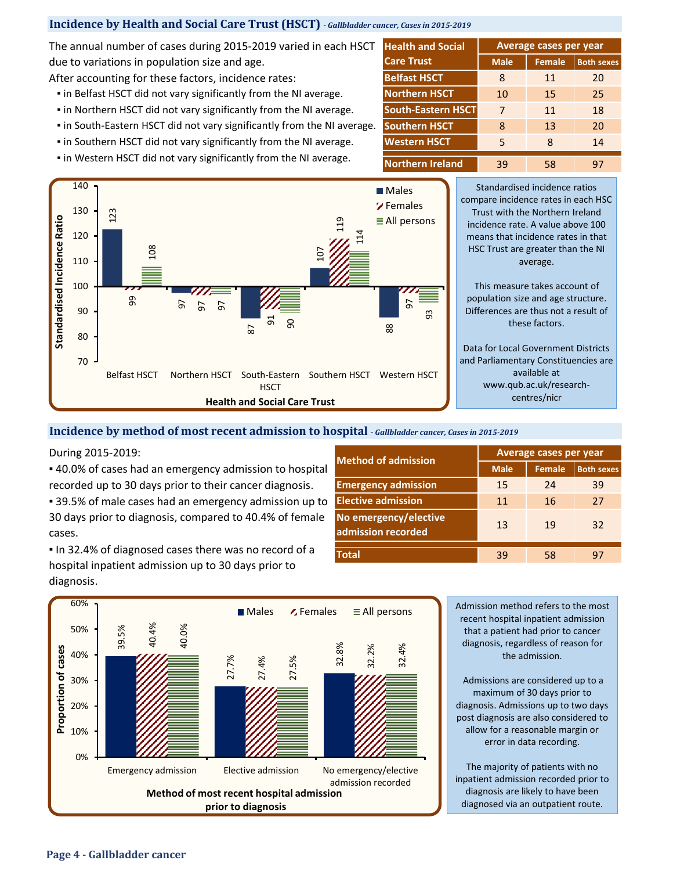# **Incidence by Health and Social Care Trust (HSCT)** *- Gallbladder cancer, Cases in 2015-2019*

The annual number of cases during 2015-2019 varied in each HSCT due to variations in population size and age.

After accounting for these factors, incidence rates: **Belfast HSCT** 

- **.** in Belfast HSCT did not vary significantly from the NI average.
- **.** in Northern HSCT did not vary significantly from the NI average.
- in South-Eastern HSCT did not vary significantly from the NI average.
- **.** in Southern HSCT did not vary significantly from the NI average.
- **.** in Western HSCT did not vary significantly from the NI average.



Standardised incidence ratios compare incidence rates in each HSC Trust with the Northern Ireland incidence rate. A value above 100 means that incidence rates in that HSC Trust are greater than the NI average.

**Male Female Both sexes** 8 11 20 10 15 25 7 11 18 8 13 20 5 8 14 39 58 97

**Average cases per year**

This measure takes account of population size and age structure. Differences are thus not a result of these factors.

Data for Local Government Districts and Parliamentary Constituencies are available at www.qub.ac.uk/researchcentres/nicr

#### **Incidence by method of most recent admission to hospital** *- Gallbladder cancer, Cases in 2015-2019*

▪ 40.0% of cases had an emergency admission to hospital recorded up to 30 days prior to their cancer diagnosis.

**B** 39.5% of male cases had an emergency admission up to 30 days prior to diagnosis, compared to 40.4% of female cases.

▪ In 32.4% of diagnosed cases there was no record of a hospital inpatient admission up to 30 days prior to diagnosis.

| <b>Method of admission</b>                  | <b>Average cases per year</b>                                    |                   |    |  |  |  |
|---------------------------------------------|------------------------------------------------------------------|-------------------|----|--|--|--|
|                                             | <b>Female</b><br><b>Male</b><br>15<br>24<br>11<br>16<br>13<br>19 | <b>Both sexes</b> |    |  |  |  |
| <b>Emergency admission</b>                  |                                                                  |                   | 39 |  |  |  |
| <b>Elective admission</b>                   |                                                                  |                   | 27 |  |  |  |
| No emergency/elective<br>admission recorded |                                                                  |                   | 32 |  |  |  |
| <b>Total</b>                                | 39                                                               | 58                | 97 |  |  |  |

**Western HSCT**

**Northern HSCT South-Eastern HSCT Southern HSCT**

**Health and Social** 

**Care Trust**



recent hospital inpatient admission that a patient had prior to cancer diagnosis, regardless of reason for the admission.

Admissions are considered up to a maximum of 30 days prior to diagnosis. Admissions up to two days post diagnosis are also considered to allow for a reasonable margin or error in data recording.

The majority of patients with no inpatient admission recorded prior to diagnosis are likely to have been diagnosed via an outpatient route.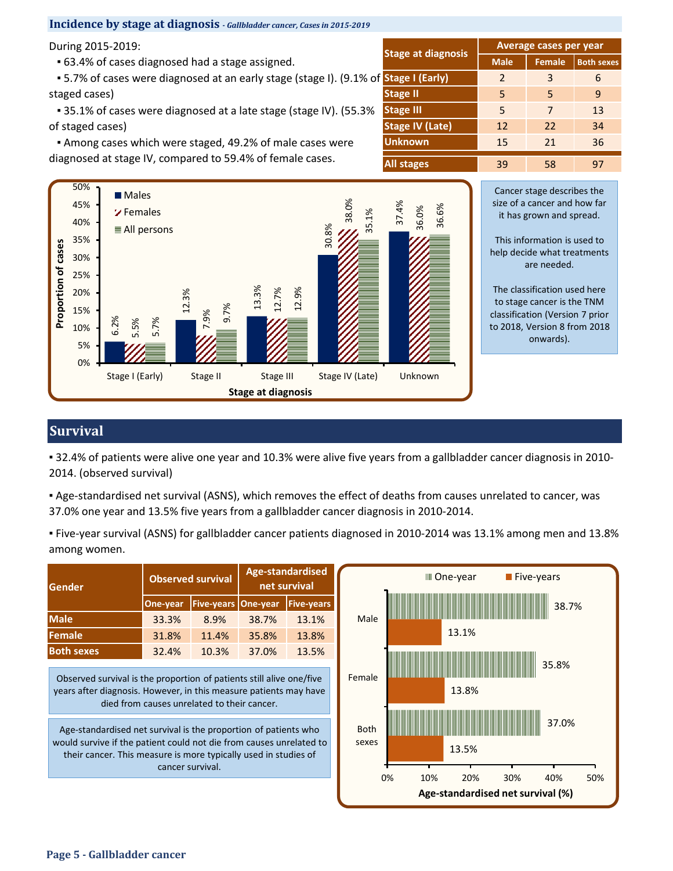# **Incidence by stage at diagnosis** *- Gallbladder cancer, Cases in 2015-2019*

During 2015-2019:

▪ 63.4% of cases diagnosed had a stage assigned.

 ▪ 5.7% of cases were diagnosed at an early stage (stage I). (9.1% of staged cases)

■ 35.1% of cases were diagnosed at a late stage (stage IV). (55.3% of staged cases)

 ▪ Among cases which were staged, 49.2% of male cases were diagnosed at stage IV, compared to 59.4% of female cases.

|                           | Average cases per year |               |                   |  |  |  |  |
|---------------------------|------------------------|---------------|-------------------|--|--|--|--|
| <b>Stage at diagnosis</b> | <b>Male</b>            | <b>Female</b> | <b>Both sexes</b> |  |  |  |  |
| <b>Stage I (Early)</b>    | $\mathcal{L}$          | 3             | 6                 |  |  |  |  |
| <b>Stage II</b>           | 5                      | 5             | 9                 |  |  |  |  |
| <b>Stage III</b>          | 5                      | 7             | 13                |  |  |  |  |
| <b>Stage IV (Late)</b>    | 12                     | 22            | 34                |  |  |  |  |
| <b>Unknown</b>            | 15                     | 21            | 36                |  |  |  |  |
| All stages                | 39                     | 58            | 97                |  |  |  |  |



Cancer stage describes the size of a cancer and how far it has grown and spread.

This information is used to help decide what treatments are needed.

The classification used here to stage cancer is the TNM classification (Version 7 prior to 2018, Version 8 from 2018 onwards).

# **Survival**

▪ 32.4% of patients were alive one year and 10.3% were alive five years from a gallbladder cancer diagnosis in 2010- 2014. (observed survival)

▪ Age-standardised net survival (ASNS), which removes the effect of deaths from causes unrelated to cancer, was 37.0% one year and 13.5% five years from a gallbladder cancer diagnosis in 2010-2014.

▪ Five-year survival (ASNS) for gallbladder cancer patients diagnosed in 2010-2014 was 13.1% among men and 13.8% among women.

| Gender                                                                                                                                                                                                    | Age-standardised<br><b>Observed survival</b><br>net survival |                                             |          |                                        | III One-year<br>$\blacksquare$ Five-years                                  |
|-----------------------------------------------------------------------------------------------------------------------------------------------------------------------------------------------------------|--------------------------------------------------------------|---------------------------------------------|----------|----------------------------------------|----------------------------------------------------------------------------|
|                                                                                                                                                                                                           | One-year                                                     | <b>Five-years</b>                           | One-year | <b>Five-years</b>                      | 38.7%                                                                      |
| Male                                                                                                                                                                                                      | 33.3%                                                        | 8.9%                                        | 38.7%    | 13.1%                                  | Male                                                                       |
| Female                                                                                                                                                                                                    | 31.8%                                                        | 11.4%                                       | 35.8%    | 13.8%                                  | 13.1%                                                                      |
| <b>Both sexes</b>                                                                                                                                                                                         | 32.4%                                                        | 10.3%                                       | 37.0%    | 13.5%                                  |                                                                            |
| Observed survival is the proportion of patients still alive one/five<br>years after diagnosis. However, in this measure patients may have                                                                 |                                                              | died from causes unrelated to their cancer. |          | 35.8%<br>Female<br>13.8%               |                                                                            |
| Age-standardised net survival is the proportion of patients who<br>would survive if the patient could not die from causes unrelated to<br>their cancer. This measure is more typically used in studies of | cancer survival.                                             |                                             |          | 37.0%<br><b>Both</b><br>sexes<br>13.5% |                                                                            |
|                                                                                                                                                                                                           |                                                              |                                             |          |                                        | 0%<br>10%<br>20%<br>30%<br>40%<br>50%<br>Age-standardised net survival (%) |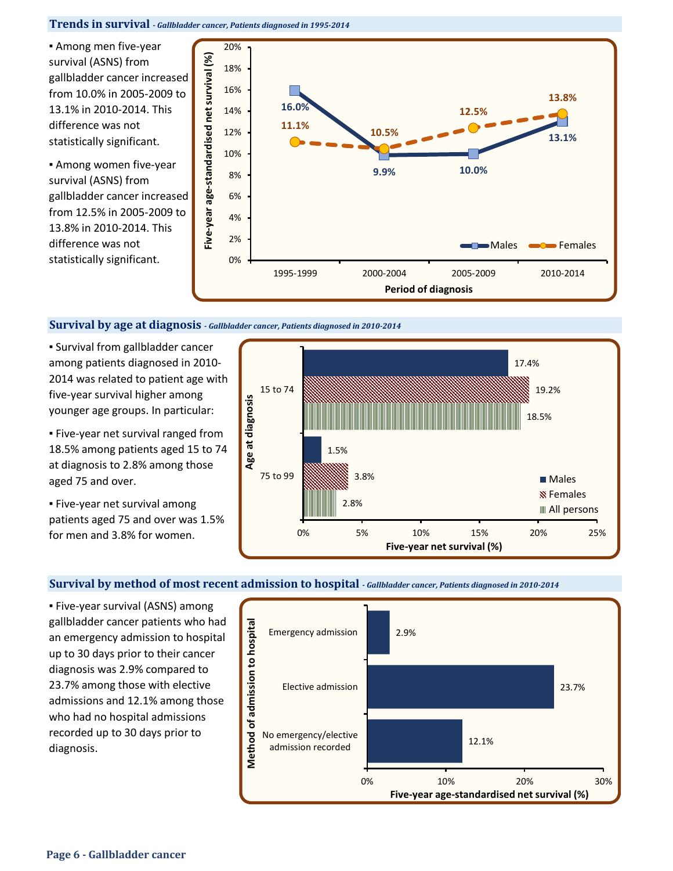**Trends in survival** *- Gallbladder cancer, Patients diagnosed in 1995-2014*

▪ Among men five-year survival (ASNS) from gallbladder cancer increased from 10.0% in 2005-2009 to 13.1% in 2010-2014. This difference was not statistically significant.

▪ Among women five-year survival (ASNS) from gallbladder cancer increased from 12.5% in 2005-2009 to 13.8% in 2010-2014. This difference was not statistically significant.



#### **Survival by age at diagnosis** *- Gallbladder cancer, Patients diagnosed in 2010-2014*

**.** Survival from gallbladder cancer among patients diagnosed in 2010- 2014 was related to patient age with five-year survival higher among younger age groups. In particular:

▪ Five-year net survival ranged from 18.5% among patients aged 15 to 74 at diagnosis to 2.8% among those aged 75 and over.

▪ Five-year net survival among patients aged 75 and over was 1.5% for men and 3.8% for women.



## **Survival by method of most recent admission to hospital** *- Gallbladder cancer, Patients diagnosed in 2010-2014*

▪ Five-year survival (ASNS) among gallbladder cancer patients who had an emergency admission to hospital up to 30 days prior to their cancer diagnosis was 2.9% compared to 23.7% among those with elective admissions and 12.1% among those who had no hospital admissions recorded up to 30 days prior to diagnosis.

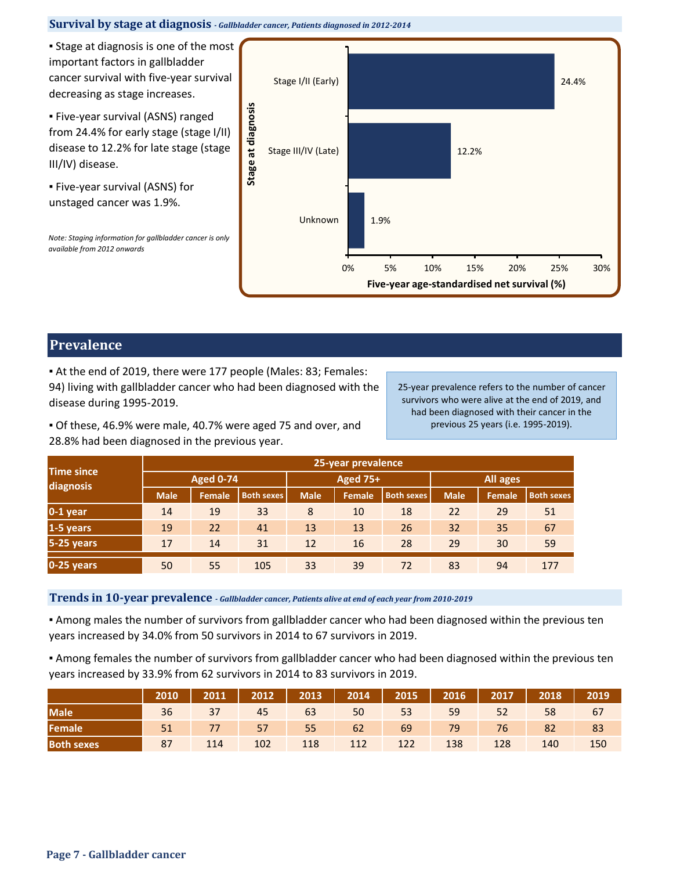# **Survival by stage at diagnosis** *- Gallbladder cancer, Patients diagnosed in 2012-2014*

**• Stage at diagnosis is one of the most** important factors in gallbladder cancer survival with five-year survival decreasing as stage increases.

▪ Five-year survival (ASNS) ranged from 24.4% for early stage (stage I/II) disease to 12.2% for late stage (stage III/IV) disease.

▪ Five-year survival (ASNS) for unstaged cancer was 1.9%.

*Note: Staging information for gallbladder cancer is only available from 2012 onwards*



# **Prevalence**

▪ At the end of 2019, there were 177 people (Males: 83; Females: 94) living with gallbladder cancer who had been diagnosed with the disease during 1995-2019.

25-year prevalence refers to the number of cancer survivors who were alive at the end of 2019, and had been diagnosed with their cancer in the previous 25 years (i.e. 1995-2019).

▪ Of these, 46.9% were male, 40.7% were aged 75 and over, and 28.8% had been diagnosed in the previous year.

|                                | 25-year prevalence |               |                   |             |                 |                   |             |               |                   |  |  |
|--------------------------------|--------------------|---------------|-------------------|-------------|-----------------|-------------------|-------------|---------------|-------------------|--|--|
| <b>Time since</b><br>diagnosis | <b>Aged 0-74</b>   |               |                   |             | <b>Aged 75+</b> |                   | All ages    |               |                   |  |  |
|                                | <b>Male</b>        | <b>Female</b> | <b>Both sexes</b> | <b>Male</b> | <b>Female</b>   | <b>Both sexes</b> | <b>Male</b> | <b>Female</b> | <b>Both sexes</b> |  |  |
| $0-1$ year                     | 14                 | 19            | 33                | 8           | 10              | 18                | 22          | 29            | 51                |  |  |
| 1-5 years                      | 19                 | 22            | 41                | 13          | 13              | 26                | 32          | 35            | 67                |  |  |
| 5-25 years                     | 17                 | 14            | 31                | 12          | 16              | 28                | 29          | 30            | 59                |  |  |
| 0-25 years                     | 50                 | 55            | 105               | 33          | 39              | 72                | 83          | 94            | 177               |  |  |

**Trends in 10-year prevalence** *- Gallbladder cancer, Patients alive at end of each year from 2010-2019*

▪ Among males the number of survivors from gallbladder cancer who had been diagnosed within the previous ten years increased by 34.0% from 50 survivors in 2014 to 67 survivors in 2019.

▪ Among females the number of survivors from gallbladder cancer who had been diagnosed within the previous ten years increased by 33.9% from 62 survivors in 2014 to 83 survivors in 2019.

|                   |    | 2010   2011   2012   2013   2014   2015   2016   2017   2018 |     |     |     |     |     |     |       | 2019 |
|-------------------|----|--------------------------------------------------------------|-----|-----|-----|-----|-----|-----|-------|------|
| <b>Male</b>       |    | 36 37 45 63 50 53 59 52                                      |     |     |     |     |     |     | 58 67 |      |
| Female            |    | 51 77 57 55 62 69 79 76 82 83                                |     |     |     |     |     |     |       |      |
| <b>Both sexes</b> | 87 | 114                                                          | 102 | 118 | 112 | 122 | 138 | 128 | 140   | 150  |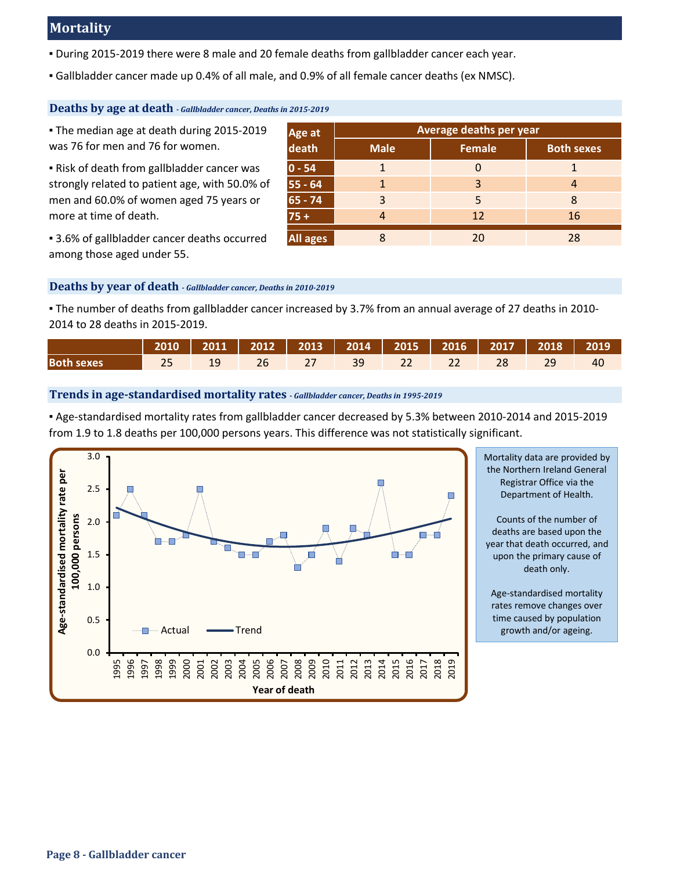# **Mortality**

- During 2015-2019 there were 8 male and 20 female deaths from gallbladder cancer each year.
- Gallbladder cancer made up 0.4% of all male, and 0.9% of all female cancer deaths (ex NMSC).

# **Deaths by age at death** *- Gallbladder cancer, Deaths in 2015-2019*

▪ The median age at death during 2015-2019 was 76 for men and 76 for women.

▪ Risk of death from gallbladder cancer was strongly related to patient age, with 50.0% of men and 60.0% of women aged 75 years or more at time of death.

| • 3.6% of gallbladder cancer deaths occurred |  |
|----------------------------------------------|--|
| among those aged under 55.                   |  |

|                 | Average deaths per year |               |                   |  |  |  |  |  |
|-----------------|-------------------------|---------------|-------------------|--|--|--|--|--|
| Age at<br>death | <b>Male</b>             | <b>Female</b> | <b>Both sexes</b> |  |  |  |  |  |
| $0 - 54$        |                         |               |                   |  |  |  |  |  |
| 55 - 64         |                         | 3             |                   |  |  |  |  |  |
| $65 - 74$       | 3                       | 5             | 8                 |  |  |  |  |  |
| $75+$           |                         | 12            | 16                |  |  |  |  |  |
| All ages        |                         | 20            | 28                |  |  |  |  |  |

# **Deaths by year of death** *- Gallbladder cancer, Deaths in 2010-2019*

▪ The number of deaths from gallbladder cancer increased by 3.7% from an annual average of 27 deaths in 2010- 2014 to 28 deaths in 2015-2019.

|                   | 2010   2011   2012   2013   2014   2015   2016   2017   2018   2019 |  |                  |  |  |  |
|-------------------|---------------------------------------------------------------------|--|------------------|--|--|--|
| <b>Both sexes</b> |                                                                     |  | 27 39 22 22 28 7 |  |  |  |

# **Trends in age-standardised mortality rates** *- Gallbladder cancer, Deaths in 1995-2019*

▪ Age-standardised mortality rates from gallbladder cancer decreased by 5.3% between 2010-2014 and 2015-2019 from 1.9 to 1.8 deaths per 100,000 persons years. This difference was not statistically significant.



Mortality data are provided by the Northern Ireland General Registrar Office via the Department of Health.

Counts of the number of deaths are based upon the year that death occurred, and upon the primary cause of death only.

Age-standardised mortality rates remove changes over time caused by population growth and/or ageing.